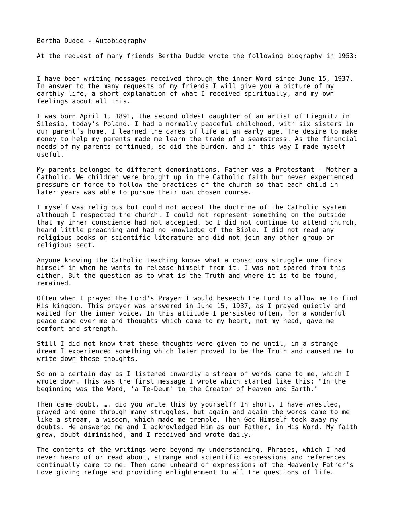## Bertha Dudde - Autobiography

At the request of many friends Bertha Dudde wrote the following biography in 1953:

I have been writing messages received through the inner Word since June 15, 1937. In answer to the many requests of my friends I will give you a picture of my earthly life, a short explanation of what I received spiritually, and my own feelings about all this.

Silesia, today's Poland. I had a normally peaceful childhood, with six sisters in our parent's home. I learned the cares of life at an early age. The desire to make money to help my parents made me learn the trade of a seamstress. As the financial needs of my parents continued, so did the burden, and in this way I made myself useful.

Catholic. We children were brought up in the Catholic faith but never experienced pressure or force to follow the practices of the church so that each child in later years was able to pursue their own chosen course.

I was born April 1, 1891, the second oldest daughter of an artist of Liegnitz in<br>Situation (April 1, 1891, the second oldest daughter of an artist of Lie<br>monoto of the particles of the burden in this way I made more than t Ny parents belonged to different denominations. Father was a Protestant - Mother approach to the calibratic state of the character of the calibratic state of the character of the character of the character of the character I myself was religious but could not accept the doctrine of the Catholic system<br>beat in the present something on the outside<br>that my inner conscience had not accepted. So I did not read continue to attend church<br>per allied although I respected the church. I could not represent something on the outside that my inner conscience had not accepted. So I did not continue to attend church, heard little preaching and had no knowledge of the Bible. I did not read any religious books or scientific literature and did not join any other group or religious sect.

himself in when he wants to release himself from it. I was not spared from this either. But the question as to what is the Truth and where it is to be found, remained.

Anyone knowing the Catholic teaching knows what a conscious struggle one finds<br>either. But the question as to what is the Truth and where it is to be found,<br>either. But the question as to what is the Truth and where it is Often when I prayed the Lord's Prayer I would beseech the Lord to allow me to find His kingdom. This prayer was answered in June 15, 1937, as I prayed quietly and waited for the inner voice. In this attitude I persisted often, for a wonderful peace came over me and thoughts which came to my heart, not my head, gave me comfort and strength.

dream I experienced something which later proved to be the Truth and caused me to write down these thoughts.

wrote down. This was the first message I wrote which started like this: "In the beginning was the Word, 'a Te-Deum' to the Creator of Heaven and Earth."

Still I did not know that these thoughts were given to me until, in a strange<br>dream I experienced something which later proved to be the Truth and caused m<br>write down these thoughts.<br>So on a certain day as I listened inwar So on a certain day as I listened inwardly a stream of words came to me, which I<br>wrote down. This was the first message I wrote which started like this: "In the<br>beginning was the Word, 'a Te-Deum' to the Creator of Heaven Then came doubt, …. did you write this by yourself? In short, I have wrestled, prayed and gone through many struggles, but again and again the words came to like a stream, a wisdom, which made me tremble. Then God Himself prayed and gone through many struggles, but again and again the words came to me like a stream, a wisdom, which made me tremble. Then God Himself took away my doubts. He answered me and I acknowledged Him as our Father, in His Word. My faith grew, doubt diminished, and I received and wrote daily.

The contents of the writings were beyond my understanding. Phrases, which I had<br>never heard of or read about, strange and scientific expressions and references<br>continually came to me. Then came unheard of expressions of th never heard of or read about, strange and scientific expressions and references continually came to me. Then came unheard of expressions of the Heavenly Father's Love giving refuge and providing enlightenment to all the questions of life.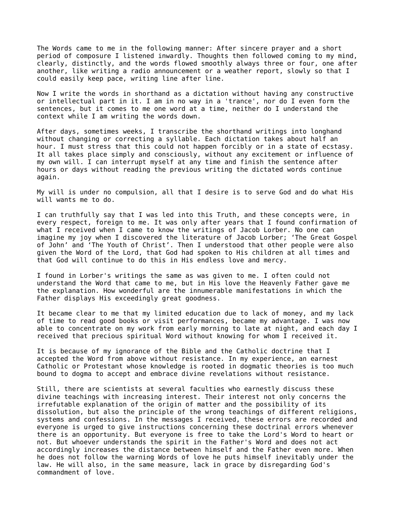The Words came to me in the following manner: After sincere prayer and a short period of composure I listened inwardly. Thoughts then followed coming to my mind, clearly, distinctly, and the words flowed smoothly always three or four, one after another, like writing a radio announcement or a weather report, slowly so that I could easily keep pace, writing line after line.

or intellectual part in it. I am in no way in a 'trance', nor do I even form the sentences, but it comes to me one word at a time, neither do I understand the context while I am writing the words down.

After days, sometimes weeks, I transcribe the shorthand writings into longhand without changing or correcting a syllable. Each dictation takes about half an hour. I must stress that this could not happen forcibly or in a state of ecstasy. It all takes place simply and consciously, without any excitement or influence of my own will. I can interrupt myself at any time and finish the sentence after hours or days without reading the previous writing the dictated words continue again.

will wants me to do.

every respect, foreign to me. It was only after years that I found confirmation of what I received when I came to know the writings of Jacob Lorber. No one can imagine my joy when I discovered the literature of Jacob Lorber; 'The Great Gospel of John' and 'The Youth of Christ'. Then I understood that other people were also given the Word of the Lord, that God had spoken to His children at all times and that God will continue to do this in His endless love and mercy.

understand the Word that came to me, but in His love the Heavenly Father gave me the explanation. How wonderful are the innumerable manifestations in which the Father displays His exceedingly great goodness.

of time to read good books or visit performances, became my advantage. I was now able to concentrate on my work from early morning to late at night, and each day I received that precious spiritual Word without knowing for whom I received it.

accepted the Word from above without resistance. In my experience, an earnest Catholic or Protestant whose knowledge is rooted in dogmatic theories is too much bound to dogma to accept and embrace divine revelations without resistance.

Now I will is under the word of the local internal as a dictation without having any constructive<br>context while I am exting the words of any construction with the second of all under the constructions in the minimal of a c My will is under no compulsion, all that I desire is to serve God and do what His rule<br>1 Lam trinthly weak to the will into this Turk!, and these compensioners, we<br>corry respect, foreign to me. It was only after years that I can truthfully say that I was led into this Truth, and these concepts were, in<br>every respect, foreign to me. It was only affer years that I found confirmation<br>what I received when I cannot can know the writings of Jacob I found in Lorber's writings the same as was given to me. I often could not the expansion. How wonderful are the innumerable manifestations in which the explanation. How wonderful are the innumerable manifestations in whic It became clear to me that my limited education due to lack of money, and my lack<br>of time to reach good books or visit performances, became my advantage. I was now<br>able to concentrate on my work from early morning to late It is because of my ignorance of the Bible and the Catholic doctrine that I<br>accepted the Word from above without resistance. In my experience, an earnee<br>Catholic or Protestant whose knowledge is rooted in dogmatic theories Still, there are scientists at several faculties who earnestly discuss these<br>divine teachings with increasing interest. Their interest not only concerns<br>irrefutable explanation of the origin of matter and the possibility o divine teachings with increasing interest. Their interest not only concerns the irrefutable explanation of the origin of matter and the possibility of its dissolution, but also the principle of the wrong teachings of different religions, systems and confessions. In the messages I received, these errors are recorded and everyone is urged to give instructions concerning these doctrinal errors whenever there is an opportunity. But everyone is free to take the Lord's Word to heart or not. But whoever understands the spirit in the Father's Word and does not act accordingly increases the distance between himself and the Father even more. When he does not follow the warning Words of love he puts himself inevitably under the law. He will also, in the same measure, lack in grace by disregarding God's commandment of love.